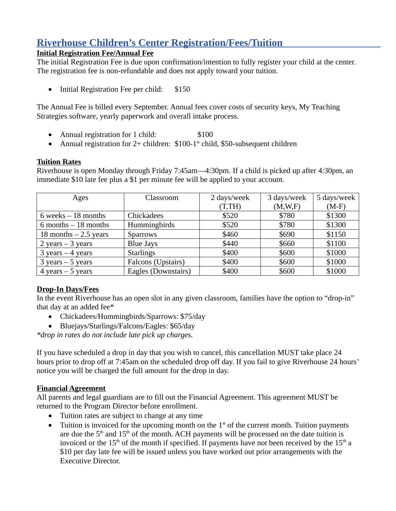# **Riverhouse Children's Center Registration/Fees/Tuition**

## **Initial Registration Fee/Annual Fee**

The initial Registration Fee is due upon confirmation/intention to fully register your child at the center. The registration fee is non-refundable and does not apply toward your tuition.

• Initial Registration Fee per child: \$150

The Annual Fee is billed every September. Annual fees cover costs of security keys, My Teaching Strategies software, yearly paperwork and overall intake process.

- Annual registration for 1 child: \$100
- Annual registration for  $2+$  children: \$100-1<sup>st</sup> child, \$50-subsequent children

### **Tuition Rates**

Riverhouse is open Monday through Friday 7:45am—4:30pm. If a child is picked up after 4:30pm, an immediate \$10 late fee plus a \$1 per minute fee will be applied to your account.

| Ages                    | Classroom           | 2 days/week | 3 days/week | 5 days/week |
|-------------------------|---------------------|-------------|-------------|-------------|
|                         |                     | (T, TH)     | (M,W,F)     | $(M-F)$     |
| $6$ weeks $-18$ months  | Chickadees          | \$520       | \$780       | \$1300      |
| $6$ months $-18$ months | Hummingbirds        | \$520       | \$780       | \$1300      |
| 18 months $-2.5$ years  | <b>Sparrows</b>     | \$460       | \$690       | \$1150      |
| $2$ years $-3$ years    | <b>Blue Jays</b>    | \$440       | \$660       | \$1100      |
| $3$ years $-4$ years    | <b>Starlings</b>    | \$400       | \$600       | \$1000      |
| $3$ years $-5$ years    | Falcons (Upstairs)  | \$400       | \$600       | \$1000      |
| 4 years $-5$ years      | Eagles (Downstairs) | \$400       | \$600       | \$1000      |

# **Drop-In Days/Fees**

In the event Riverhouse has an open slot in any given classroom, families have the option to "drop-in" that day at an added fee\*

- Chickadees/Hummingbirds/Sparrows: \$75/day
- Bluejays/Starlings/Falcons/Eagles: \$65/day

*\*drop in rates do not include late pick up charges.*

If you have scheduled a drop in day that you wish to cancel, this cancellation MUST take place 24 hours prior to drop off at 7:45am on the scheduled drop off day. If you fail to give Riverhouse 24 hours' notice you will be charged the full amount for the drop in day.

# **Financial Agreement**

All parents and legal guardians are to fill out the Financial Agreement. This agreement MUST be returned to the Program Director before enrollment.

- Tuition rates are subject to change at any time
- Tuition is invoiced for the upcoming month on the  $1<sup>st</sup>$  of the current month. Tuition payments are due the  $5<sup>th</sup>$  and  $15<sup>th</sup>$  of the month. ACH payments will be processed on the date tuition is invoiced or the  $15<sup>th</sup>$  of the month if specified. If payments have not been received by the  $15<sup>th</sup>$  a \$10 per day late fee will be issued unless you have worked out prior arrangements with the Executive Director.